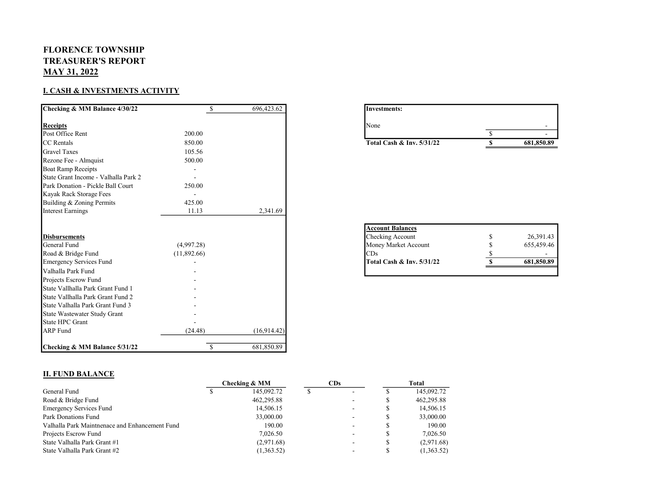## FLORENCE TOWNSHIP TREASURER'S REPORT MAY 31, 2022

## I. CASH & INVESTMENTS ACTIVITY

| Checking & MM Balance 4/30/22        | \$            | 696,423.62  |
|--------------------------------------|---------------|-------------|
| <b>Receipts</b>                      |               |             |
| Post Office Rent                     | 200.00        |             |
| CC Rentals                           | 850.00        |             |
| <b>Gravel Taxes</b>                  | 105.56        |             |
| Rezone Fee - Almquist                | 500.00        |             |
| <b>Boat Ramp Receipts</b>            |               |             |
| State Grant Income - Valhalla Park 2 |               |             |
| Park Donation - Pickle Ball Court    | 250.00        |             |
| Kayak Rack Storage Fees              |               |             |
| Building & Zoning Permits            | 425.00        |             |
| <b>Interest Earnings</b>             | 11.13         | 2,341.69    |
| <b>Disbursements</b>                 |               |             |
| General Fund                         | (4,997.28)    |             |
| Road & Bridge Fund                   | (11,892.66)   |             |
| <b>Emergency Services Fund</b>       |               |             |
| Valhalla Park Fund                   |               |             |
| Projects Escrow Fund                 |               |             |
| State Vallhalla Park Grant Fund 1    |               |             |
| State Vallhalla Park Grant Fund 2    |               |             |
| State Valhalla Park Grant Fund 3     |               |             |
| State Wastewater Study Grant         |               |             |
| <b>State HPC Grant</b>               |               |             |
| <b>ARP</b> Fund                      | (24.48)       | (16,914.42) |
| Checking & MM Balance 5/31/22        | <sup>\$</sup> | 681,850.89  |

| Investments:                         |            |
|--------------------------------------|------------|
| None                                 |            |
|                                      |            |
| <b>Total Cash &amp; Inv. 5/31/22</b> | 681,850.89 |

| 26,391.43  |
|------------|
| 655,459.46 |
|            |
| 681,850.89 |
|            |

## II. FUND BALANCE

|                                                | Checking & MM |            | CDs |   | Total |            |
|------------------------------------------------|---------------|------------|-----|---|-------|------------|
| General Fund                                   |               | 145,092.72 |     | ۰ |       | 145,092.72 |
| Road & Bridge Fund                             |               | 462,295.88 |     |   |       | 462,295.88 |
| <b>Emergency Services Fund</b>                 |               | 14,506.15  |     |   |       | 14,506.15  |
| Park Donations Fund                            |               | 33,000.00  |     |   |       | 33,000.00  |
| Valhalla Park Maintnenace and Enhancement Fund |               | 190.00     |     | ۰ |       | 190.00     |
| Projects Escrow Fund                           |               | 7,026.50   |     |   |       | 7,026.50   |
| State Valhalla Park Grant #1                   |               | (2,971.68) |     |   |       | (2,971.68) |
| State Valhalla Park Grant #2                   |               | (1,363.52) |     |   |       | (1,363.52) |